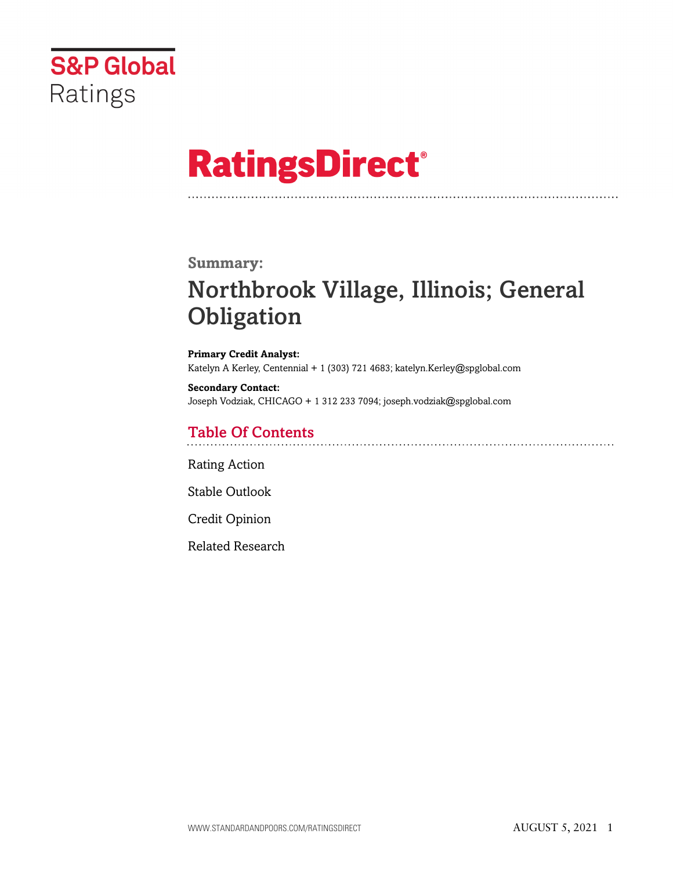

# **RatingsDirect®**

## **Summary:**

# Northbrook Village, Illinois; General **Obligation**

**Primary Credit Analyst:** Katelyn A Kerley, Centennial + 1 (303) 721 4683; katelyn.Kerley@spglobal.com

**Secondary Contact:** Joseph Vodziak, CHICAGO + 1 312 233 7094; joseph.vodziak@spglobal.com

## Table Of Contents

[Rating Action](#page-1-0)

[Stable Outlook](#page-3-0)

[Credit Opinion](#page-3-1)

[Related Research](#page-5-0)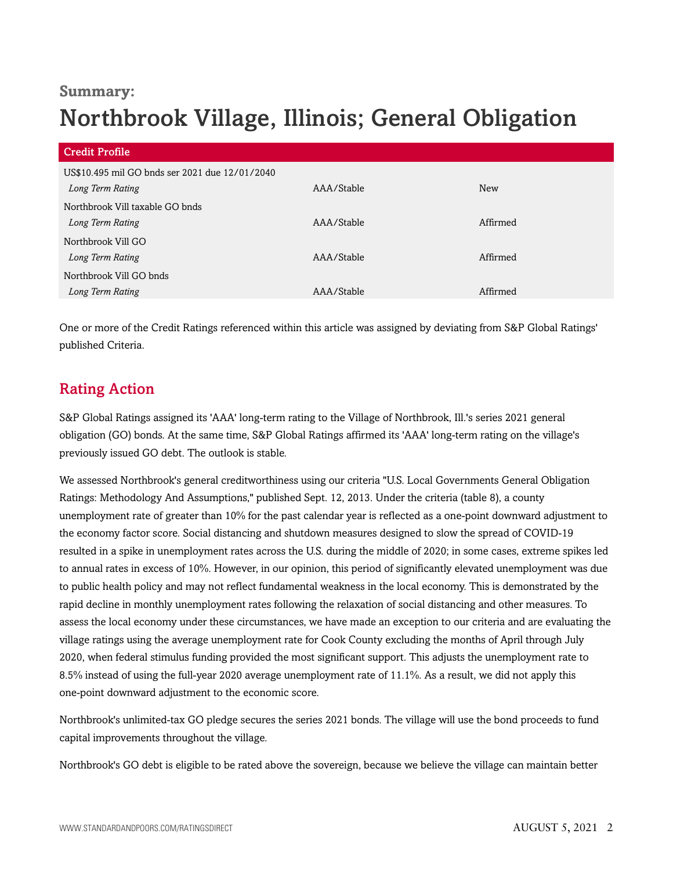## **Summary:** Northbrook Village, Illinois; General Obligation

| <b>Credit Profile</b>                          |            |            |
|------------------------------------------------|------------|------------|
| US\$10.495 mil GO bnds ser 2021 due 12/01/2040 |            |            |
| Long Term Rating                               | AAA/Stable | <b>New</b> |
| Northbrook Vill taxable GO bnds                |            |            |
| Long Term Rating                               | AAA/Stable | Affirmed   |
| Northbrook Vill GO                             |            |            |
| Long Term Rating                               | AAA/Stable | Affirmed   |
| Northbrook Vill GO bnds                        |            |            |
| Long Term Rating                               | AAA/Stable | Affirmed   |
|                                                |            |            |

One or more of the Credit Ratings referenced within this article was assigned by deviating from S&P Global Ratings' published Criteria.

## <span id="page-1-0"></span>Rating Action

S&P Global Ratings assigned its 'AAA' long-term rating to the Village of Northbrook, Ill.'s series 2021 general obligation (GO) bonds. At the same time, S&P Global Ratings affirmed its 'AAA' long-term rating on the village's previously issued GO debt. The outlook is stable.

We assessed Northbrook's general creditworthiness using our criteria "U.S. Local Governments General Obligation Ratings: Methodology And Assumptions," published Sept. 12, 2013. Under the criteria (table 8), a county unemployment rate of greater than 10% for the past calendar year is reflected as a one-point downward adjustment to the economy factor score. Social distancing and shutdown measures designed to slow the spread of COVID-19 resulted in a spike in unemployment rates across the U.S. during the middle of 2020; in some cases, extreme spikes led to annual rates in excess of 10%. However, in our opinion, this period of significantly elevated unemployment was due to public health policy and may not reflect fundamental weakness in the local economy. This is demonstrated by the rapid decline in monthly unemployment rates following the relaxation of social distancing and other measures. To assess the local economy under these circumstances, we have made an exception to our criteria and are evaluating the village ratings using the average unemployment rate for Cook County excluding the months of April through July 2020, when federal stimulus funding provided the most significant support. This adjusts the unemployment rate to 8.5% instead of using the full-year 2020 average unemployment rate of 11.1%. As a result, we did not apply this one-point downward adjustment to the economic score.

Northbrook's unlimited-tax GO pledge secures the series 2021 bonds. The village will use the bond proceeds to fund capital improvements throughout the village.

Northbrook's GO debt is eligible to be rated above the sovereign, because we believe the village can maintain better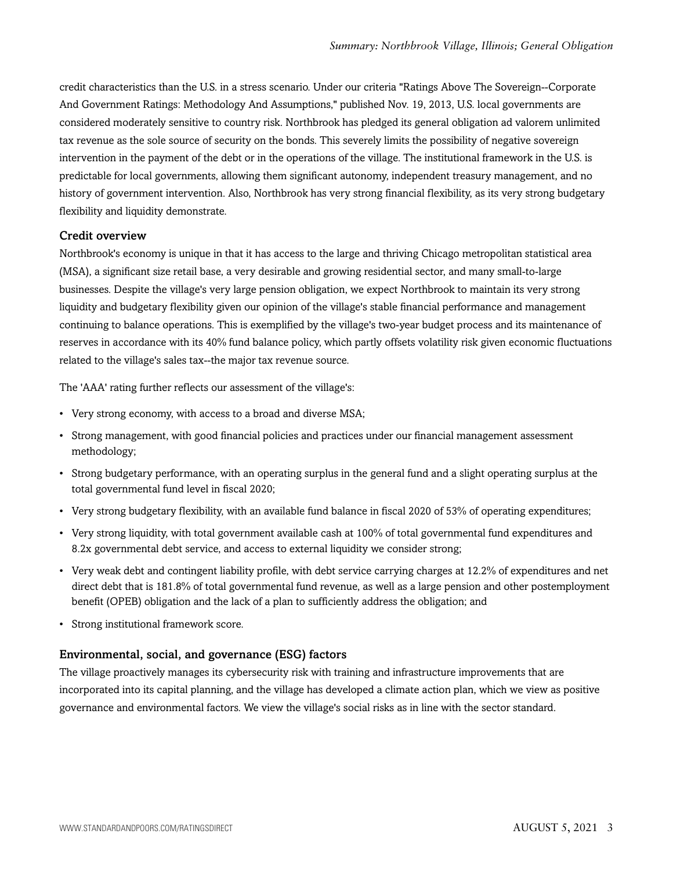credit characteristics than the U.S. in a stress scenario. Under our criteria "Ratings Above The Sovereign--Corporate And Government Ratings: Methodology And Assumptions," published Nov. 19, 2013, U.S. local governments are considered moderately sensitive to country risk. Northbrook has pledged its general obligation ad valorem unlimited tax revenue as the sole source of security on the bonds. This severely limits the possibility of negative sovereign intervention in the payment of the debt or in the operations of the village. The institutional framework in the U.S. is predictable for local governments, allowing them significant autonomy, independent treasury management, and no history of government intervention. Also, Northbrook has very strong financial flexibility, as its very strong budgetary flexibility and liquidity demonstrate.

## Credit overview

Northbrook's economy is unique in that it has access to the large and thriving Chicago metropolitan statistical area (MSA), a significant size retail base, a very desirable and growing residential sector, and many small-to-large businesses. Despite the village's very large pension obligation, we expect Northbrook to maintain its very strong liquidity and budgetary flexibility given our opinion of the village's stable financial performance and management continuing to balance operations. This is exemplified by the village's two-year budget process and its maintenance of reserves in accordance with its 40% fund balance policy, which partly offsets volatility risk given economic fluctuations related to the village's sales tax--the major tax revenue source.

The 'AAA' rating further reflects our assessment of the village's:

- Very strong economy, with access to a broad and diverse MSA;
- Strong management, with good financial policies and practices under our financial management assessment methodology;
- Strong budgetary performance, with an operating surplus in the general fund and a slight operating surplus at the total governmental fund level in fiscal 2020;
- Very strong budgetary flexibility, with an available fund balance in fiscal 2020 of 53% of operating expenditures;
- Very strong liquidity, with total government available cash at 100% of total governmental fund expenditures and 8.2x governmental debt service, and access to external liquidity we consider strong;
- Very weak debt and contingent liability profile, with debt service carrying charges at 12.2% of expenditures and net direct debt that is 181.8% of total governmental fund revenue, as well as a large pension and other postemployment benefit (OPEB) obligation and the lack of a plan to sufficiently address the obligation; and
- Strong institutional framework score.

## Environmental, social, and governance (ESG) factors

The village proactively manages its cybersecurity risk with training and infrastructure improvements that are incorporated into its capital planning, and the village has developed a climate action plan, which we view as positive governance and environmental factors. We view the village's social risks as in line with the sector standard.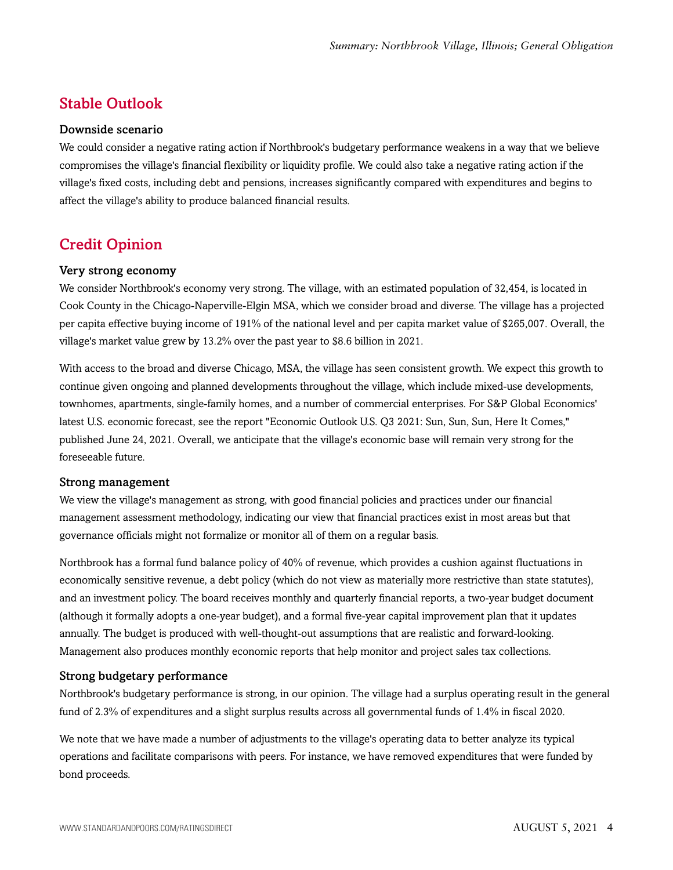## <span id="page-3-0"></span>Stable Outlook

## Downside scenario

We could consider a negative rating action if Northbrook's budgetary performance weakens in a way that we believe compromises the village's financial flexibility or liquidity profile. We could also take a negative rating action if the village's fixed costs, including debt and pensions, increases significantly compared with expenditures and begins to affect the village's ability to produce balanced financial results.

## <span id="page-3-1"></span>Credit Opinion

## Very strong economy

We consider Northbrook's economy very strong. The village, with an estimated population of 32,454, is located in Cook County in the Chicago-Naperville-Elgin MSA, which we consider broad and diverse. The village has a projected per capita effective buying income of 191% of the national level and per capita market value of \$265,007. Overall, the village's market value grew by 13.2% over the past year to \$8.6 billion in 2021.

With access to the broad and diverse Chicago, MSA, the village has seen consistent growth. We expect this growth to continue given ongoing and planned developments throughout the village, which include mixed-use developments, townhomes, apartments, single-family homes, and a number of commercial enterprises. For S&P Global Economics' latest U.S. economic forecast, see the report "Economic Outlook U.S. Q3 2021: Sun, Sun, Sun, Here It Comes," published June 24, 2021. Overall, we anticipate that the village's economic base will remain very strong for the foreseeable future.

#### Strong management

We view the village's management as strong, with good financial policies and practices under our financial management assessment methodology, indicating our view that financial practices exist in most areas but that governance officials might not formalize or monitor all of them on a regular basis.

Northbrook has a formal fund balance policy of 40% of revenue, which provides a cushion against fluctuations in economically sensitive revenue, a debt policy (which do not view as materially more restrictive than state statutes), and an investment policy. The board receives monthly and quarterly financial reports, a two-year budget document (although it formally adopts a one-year budget), and a formal five-year capital improvement plan that it updates annually. The budget is produced with well-thought-out assumptions that are realistic and forward-looking. Management also produces monthly economic reports that help monitor and project sales tax collections.

## Strong budgetary performance

Northbrook's budgetary performance is strong, in our opinion. The village had a surplus operating result in the general fund of 2.3% of expenditures and a slight surplus results across all governmental funds of 1.4% in fiscal 2020.

We note that we have made a number of adjustments to the village's operating data to better analyze its typical operations and facilitate comparisons with peers. For instance, we have removed expenditures that were funded by bond proceeds.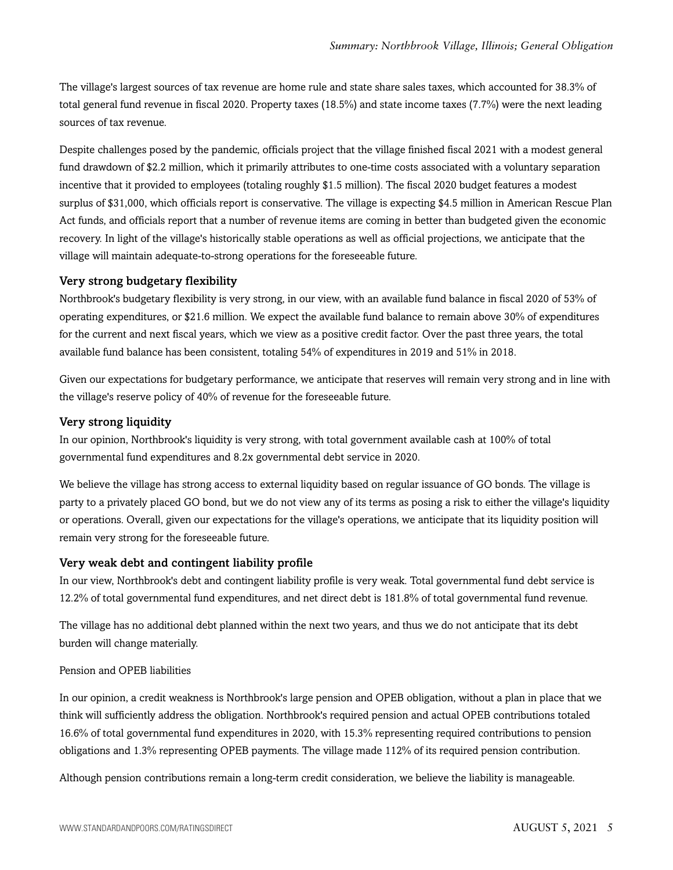The village's largest sources of tax revenue are home rule and state share sales taxes, which accounted for 38.3% of total general fund revenue in fiscal 2020. Property taxes (18.5%) and state income taxes (7.7%) were the next leading sources of tax revenue.

Despite challenges posed by the pandemic, officials project that the village finished fiscal 2021 with a modest general fund drawdown of \$2.2 million, which it primarily attributes to one-time costs associated with a voluntary separation incentive that it provided to employees (totaling roughly \$1.5 million). The fiscal 2020 budget features a modest surplus of \$31,000, which officials report is conservative. The village is expecting \$4.5 million in American Rescue Plan Act funds, and officials report that a number of revenue items are coming in better than budgeted given the economic recovery. In light of the village's historically stable operations as well as official projections, we anticipate that the village will maintain adequate-to-strong operations for the foreseeable future.

#### Very strong budgetary flexibility

Northbrook's budgetary flexibility is very strong, in our view, with an available fund balance in fiscal 2020 of 53% of operating expenditures, or \$21.6 million. We expect the available fund balance to remain above 30% of expenditures for the current and next fiscal years, which we view as a positive credit factor. Over the past three years, the total available fund balance has been consistent, totaling 54% of expenditures in 2019 and 51% in 2018.

Given our expectations for budgetary performance, we anticipate that reserves will remain very strong and in line with the village's reserve policy of 40% of revenue for the foreseeable future.

## Very strong liquidity

In our opinion, Northbrook's liquidity is very strong, with total government available cash at 100% of total governmental fund expenditures and 8.2x governmental debt service in 2020.

We believe the village has strong access to external liquidity based on regular issuance of GO bonds. The village is party to a privately placed GO bond, but we do not view any of its terms as posing a risk to either the village's liquidity or operations. Overall, given our expectations for the village's operations, we anticipate that its liquidity position will remain very strong for the foreseeable future.

#### Very weak debt and contingent liability profile

In our view, Northbrook's debt and contingent liability profile is very weak. Total governmental fund debt service is 12.2% of total governmental fund expenditures, and net direct debt is 181.8% of total governmental fund revenue.

The village has no additional debt planned within the next two years, and thus we do not anticipate that its debt burden will change materially.

#### Pension and OPEB liabilities

In our opinion, a credit weakness is Northbrook's large pension and OPEB obligation, without a plan in place that we think will sufficiently address the obligation. Northbrook's required pension and actual OPEB contributions totaled 16.6% of total governmental fund expenditures in 2020, with 15.3% representing required contributions to pension obligations and 1.3% representing OPEB payments. The village made 112% of its required pension contribution.

Although pension contributions remain a long-term credit consideration, we believe the liability is manageable.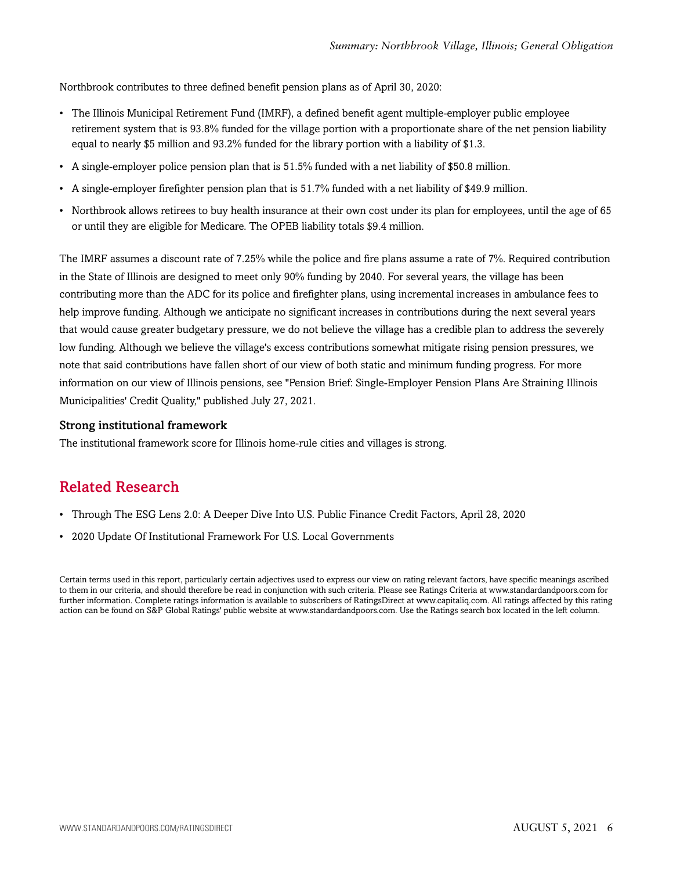Northbrook contributes to three defined benefit pension plans as of April 30, 2020:

- The Illinois Municipal Retirement Fund (IMRF), a defined benefit agent multiple-employer public employee retirement system that is 93.8% funded for the village portion with a proportionate share of the net pension liability equal to nearly \$5 million and 93.2% funded for the library portion with a liability of \$1.3.
- A single-employer police pension plan that is 51.5% funded with a net liability of \$50.8 million.
- A single-employer firefighter pension plan that is 51.7% funded with a net liability of \$49.9 million.
- Northbrook allows retirees to buy health insurance at their own cost under its plan for employees, until the age of 65 or until they are eligible for Medicare. The OPEB liability totals \$9.4 million.

The IMRF assumes a discount rate of 7.25% while the police and fire plans assume a rate of 7%. Required contribution in the State of Illinois are designed to meet only 90% funding by 2040. For several years, the village has been contributing more than the ADC for its police and firefighter plans, using incremental increases in ambulance fees to help improve funding. Although we anticipate no significant increases in contributions during the next several years that would cause greater budgetary pressure, we do not believe the village has a credible plan to address the severely low funding. Although we believe the village's excess contributions somewhat mitigate rising pension pressures, we note that said contributions have fallen short of our view of both static and minimum funding progress. For more information on our view of Illinois pensions, see "Pension Brief: Single-Employer Pension Plans Are Straining Illinois Municipalities' Credit Quality," published July 27, 2021.

## Strong institutional framework

<span id="page-5-0"></span>The institutional framework score for Illinois home-rule cities and villages is strong.

## Related Research

- Through The ESG Lens 2.0: A Deeper Dive Into U.S. Public Finance Credit Factors, April 28, 2020
- 2020 Update Of Institutional Framework For U.S. Local Governments

Certain terms used in this report, particularly certain adjectives used to express our view on rating relevant factors, have specific meanings ascribed to them in our criteria, and should therefore be read in conjunction with such criteria. Please see Ratings Criteria at www.standardandpoors.com for further information. Complete ratings information is available to subscribers of RatingsDirect at www.capitaliq.com. All ratings affected by this rating action can be found on S&P Global Ratings' public website at www.standardandpoors.com. Use the Ratings search box located in the left column.